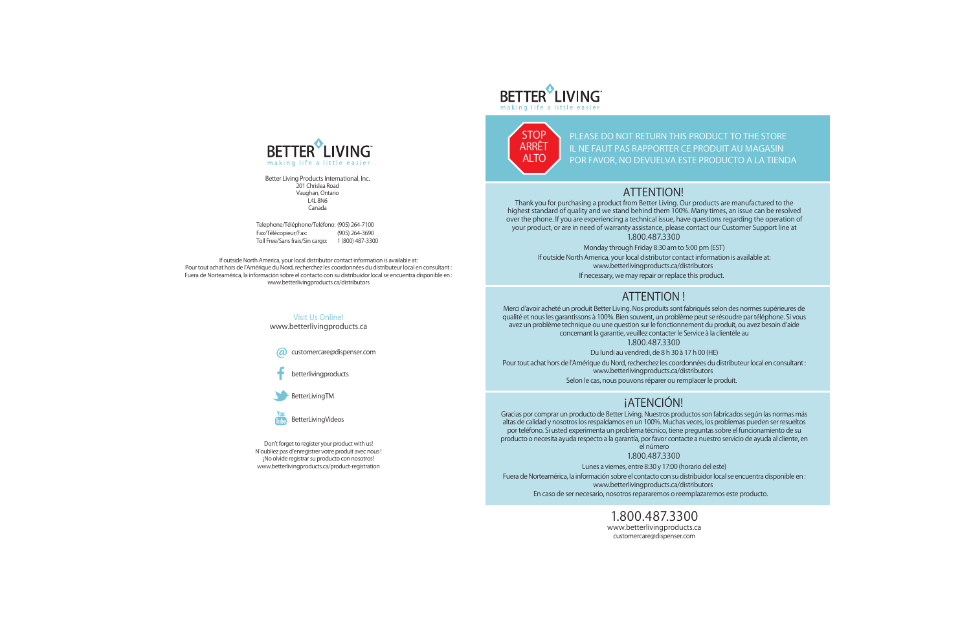Visit Us Online! www.betterlivingproducts.ca

**a** customercare@dispenser.com

betterlivingproducts

BetterLivingTM



Don't forget to register your product with us! N'oubliez pas d'enregistrer votre produit avec nous ! ¡No olvide registrar su producto con nosotros! www.betterlivingproducts.ca/product-registration



If outside North America, your local distributor contact information is available at: Pour tout achat hors de l'Amérique du Nord, recherchez les coordonnées du distributeur local en consultant : Fuera de Norteamérica, la información sobre el contacto con su distribuidor local se encuentra disponible en : www.betterlivingproducts.ca/distributors

**PLEASE DO NOT RETURN THIS PRODUCT TO THE STORE IL NE FAUT PAS RAPPORTER CE PRODUIT AU MAGASIN POR FAVOR, NO DEVUELVA ESTE PRODUCTO A LA TIENDA**



Thank you for purchasing a product from Better Living. Our products are manufactured to the highest standard of quality and we stand behind them 100%. Many times, an issue can be resolved over the phone. If you are experiencing a technical issue, have questions regarding the operation of your product, or are in need of warranty assistance, please contact our Customer Support line at 1.800.487.3300

Monday through Friday 8:30 am to 5:00 pm (EST)

If outside North America, your local distributor contact information is available at:

www.betterlivingproducts.ca/distributors

**If necessary, we may repair or replace this product.**

## **ATTENTION!**

Merci d'avoir acheté un produit Better Living. Nos produits sont fabriqués selon des normes supérieures de qualité et nous les garantissons à 100%. Bien souvent, un problème peut se résoudre par téléphone. Si vous avez un problème technique ou une question sur le fonctionnement du produit, ou avez besoin d'aide concernant la garantie, veuillez contacter le Service à la clientèle au 1.800.487.3300

Du lundi au vendredi, de 8 h 30 à 17 h 00 (HE)

Pour tout achat hors de l'Amérique du Nord, recherchez les coordonnées du distributeur local en consultant : www.betterlivingproducts.ca/distributors

**Selon le cas, nous pouvons réparer ou remplacer le produit.**

Gracias por comprar un producto de Better Living. Nuestros productos son fabricados según las normas más altas de calidad y nosotros los respaldamos en un 100%. Muchas veces, los problemas pueden ser resueltos por teléfono. Si usted experimenta un problema técnico, tiene preguntas sobre el funcionamiento de su producto o necesita ayuda respecto a la garantía, por favor contacte a nuestro servicio de ayuda al cliente, en el número

1.800.487.3300

Lunes a viernes, entre 8:30 y 17:00 (horario del este) Fuera de Norteamérica, la información sobre el contacto con su distribuidor local se encuentra disponible en : www.betterlivingproducts.ca/distributors **En caso de ser necesario, nosotros repararemos o reemplazaremos este producto.**

# **ATTENTION !**

# **¡ATENCIÓN!**

**1.800.487.3300** www.betterlivingproducts.ca customercare@dispenser.com

Telephone/Téléphone/Teléfono: (905) 264-7100 Fax/Télécopieur/Fax: (905) 264-3690 Toll Free/Sans frais/Sin cargo: 1 (800) 487-3300



Better Living Products International, Inc. 201 Chrislea Road Vaughan, Ontario L4L 8N6 Canada